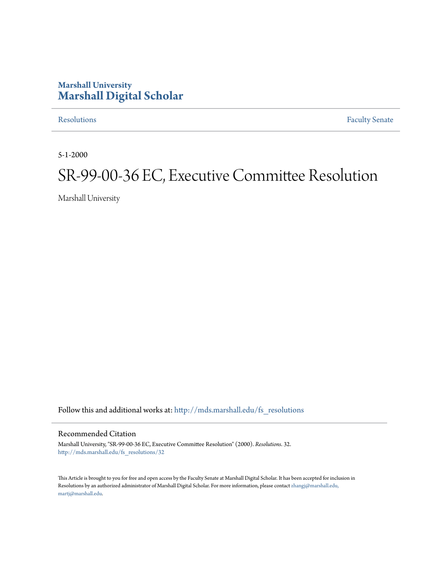## **Marshall University [Marshall Digital Scholar](http://mds.marshall.edu?utm_source=mds.marshall.edu%2Ffs_resolutions%2F32&utm_medium=PDF&utm_campaign=PDFCoverPages)**

[Resolutions](http://mds.marshall.edu/fs_resolutions?utm_source=mds.marshall.edu%2Ffs_resolutions%2F32&utm_medium=PDF&utm_campaign=PDFCoverPages) [Faculty Senate](http://mds.marshall.edu/fs?utm_source=mds.marshall.edu%2Ffs_resolutions%2F32&utm_medium=PDF&utm_campaign=PDFCoverPages)

5-1-2000

# SR-99-00-36 EC, Executive Committee Resolution

Marshall University

Follow this and additional works at: [http://mds.marshall.edu/fs\\_resolutions](http://mds.marshall.edu/fs_resolutions?utm_source=mds.marshall.edu%2Ffs_resolutions%2F32&utm_medium=PDF&utm_campaign=PDFCoverPages)

#### Recommended Citation

Marshall University, "SR-99-00-36 EC, Executive Committee Resolution" (2000). *Resolutions*. 32. [http://mds.marshall.edu/fs\\_resolutions/32](http://mds.marshall.edu/fs_resolutions/32?utm_source=mds.marshall.edu%2Ffs_resolutions%2F32&utm_medium=PDF&utm_campaign=PDFCoverPages)

This Article is brought to you for free and open access by the Faculty Senate at Marshall Digital Scholar. It has been accepted for inclusion in Resolutions by an authorized administrator of Marshall Digital Scholar. For more information, please contact [zhangj@marshall.edu,](mailto:zhangj@marshall.edu,%20martj@marshall.edu) [martj@marshall.edu](mailto:zhangj@marshall.edu,%20martj@marshall.edu).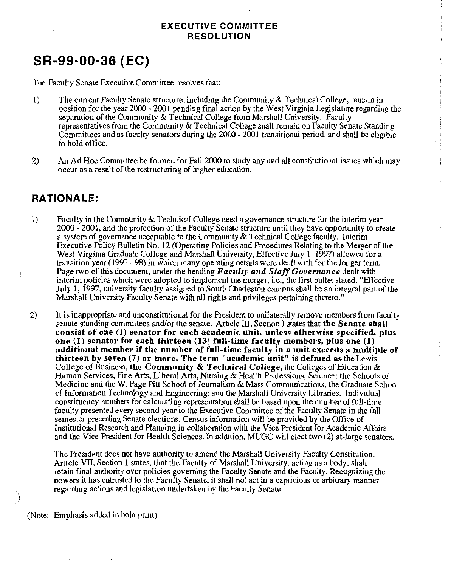#### **EXECUTIVE COMMITTEE RESOLUTION**

# **SR-99-00-36 (EC)**

The Faculty Senate Executive Committee resolves that:

- 1) The current Faculty Senate structure, including the Community & Technical College, remain in position for the year 2000 - 2001 pending final action by the West Virginia Legislature regarding the separation of the Community & Technical College from Marshall University. Faculty representatives from the Community & Technical College shall remain on Faculty Senate Standing Committees and as faculty senators during the 2000 - 2001 transitional period, and shall be eligible to hold office.
- 2) An Ad Hoc Committee be formed for Fall 2000 to study any and all constitutional issues which may occur as a result of the restructuring of higher education.

### **RATIONALE:**

- 1) Faculty in the Community & Technical College need a governance structure for the interim year 2000- 2001, and the protection of the Faculty Senate structure until they have opportunity to create a system of governance acceptable to the Community & Technical College faculty. Interim Executive Policy Bulletin No. 12 (Operating Policies and Procedures Relating to the Merger of the West Virginia Graduate College and Marshall University, Effective July 1, 1997) allowed for a transition year (1997 - 98) in which many operating details were dealt with for the longer term. Page two of this document, under the heading *F acuity and Staff Governance* dealt with interim policies which were adopted to implement the merger, i.e., the first bullet stated, "Effective July **1,** 1997, university faculty assigned to South Charleston campus shall be an integral part of the Marshall University Faculty Senate with all rights and privileges pertaining thereto."
- 2) It is inappropriate and unconstitutional for the President to unilaterally remove members from faculty senate standing committees and/or the senate. Article III, Section I states that **the Senate shall consist of one (1) senator for each academic unit, unless otherwise specified, plus one (1) senator for each thirteen (13) full-time faculty members, plus one (1) additional member if the number of full-time faculty in a unit exceeds a multiple of thirteen by seven (7) or more. The term "academic unit" is defined as** the Lewis College of Business, **the Community & Technical College,** the Colleges of Education & Human Services, Fine Arts, Liberal Arts, Nursing & Health Professions, Science; the Schools of Medicine and the W. Page Pitt School of Journalism & Mass Communications, the Graduate School of Information Technology and Engineering; and the Marshall University Libraries. Individual constituency numbers for calculating representation shall be based upon the number of full-time faculty presented every second year to the Executive Committee of the Faculty Senate in the fall semester preceding Senate elections. Census information will be provided by the Office of Institutional Research and Planning in collaboration with the Vice President for Academic Affairs and the Vice President for Health Sciences. In addition, MUGC will elect two (2) at-large senators.

The President does not have authority to amend the Marshall University Faculty Constitution. Article VII, Section 1 states, that the Faculty of Marshall University, acting as a body, shall retain final authority over policies governing the Faculty Senate and the Faculty. Recognizing the powers it has entrusted to the Faculty Senate, it shall not act in a capricious or arbitrary manner regarding actions and legislation undertaken by the Faculty Senate.

(Note: Emphasis added in bold print)